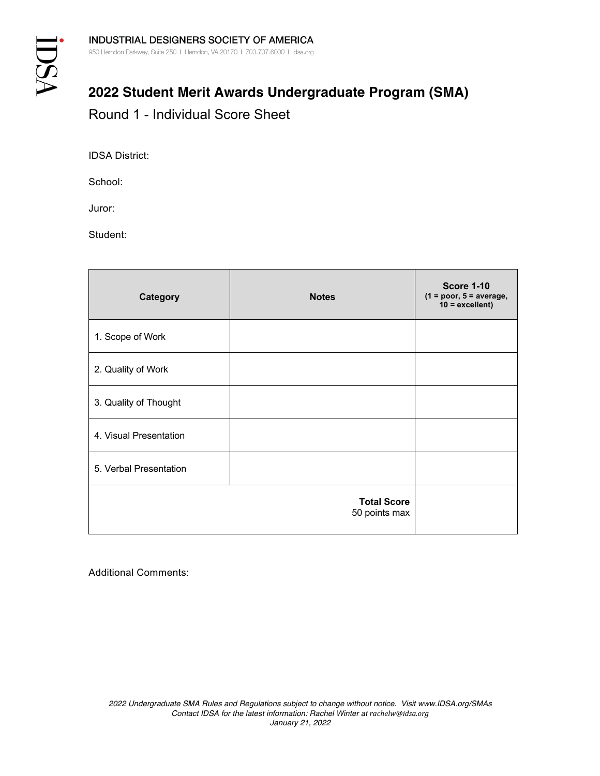## **2022 Student Merit Awards Undergraduate Program (SMA)**

Round 1 - Individual Score Sheet

IDSA District:

School:

Juror:

Student:

| <b>Category</b>        | <b>Notes</b>                        | <b>Score 1-10</b><br>$(1 = poor, 5 = average,$<br>$10 =$ excellent) |
|------------------------|-------------------------------------|---------------------------------------------------------------------|
| 1. Scope of Work       |                                     |                                                                     |
| 2. Quality of Work     |                                     |                                                                     |
| 3. Quality of Thought  |                                     |                                                                     |
| 4. Visual Presentation |                                     |                                                                     |
| 5. Verbal Presentation |                                     |                                                                     |
|                        | <b>Total Score</b><br>50 points max |                                                                     |

Additional Comments: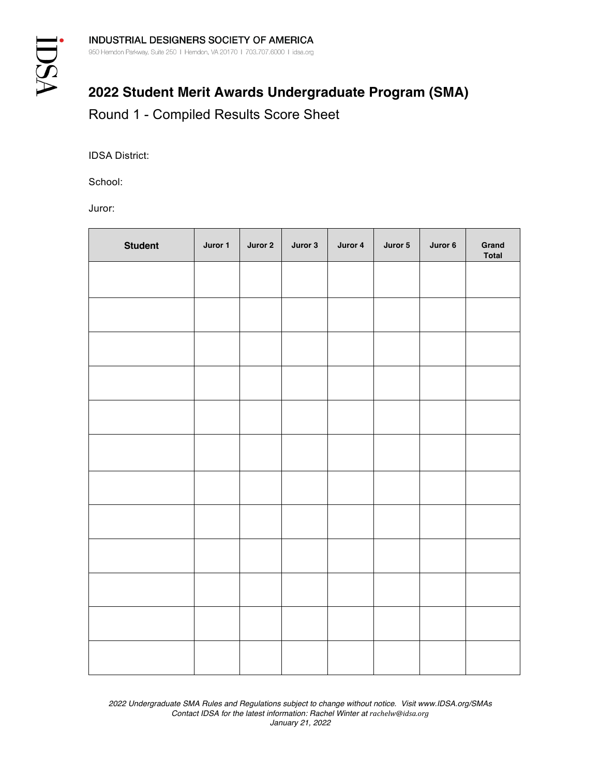## **2022 Student Merit Awards Undergraduate Program (SMA)** Round 1 - Compiled Results Score Sheet

IDSA District:

School:

Juror:

| <b>Student</b> | Juror 1 | Juror 2 | Juror 3 | Juror 4 | Juror 5 | Juror 6 | Grand<br>Total |
|----------------|---------|---------|---------|---------|---------|---------|----------------|
|                |         |         |         |         |         |         |                |
|                |         |         |         |         |         |         |                |
|                |         |         |         |         |         |         |                |
|                |         |         |         |         |         |         |                |
|                |         |         |         |         |         |         |                |
|                |         |         |         |         |         |         |                |
|                |         |         |         |         |         |         |                |
|                |         |         |         |         |         |         |                |
|                |         |         |         |         |         |         |                |
|                |         |         |         |         |         |         |                |
|                |         |         |         |         |         |         |                |
|                |         |         |         |         |         |         |                |

*2022 Undergraduate SMA Rules and Regulations subject to change without notice. Visit www.IDSA.org/SMAs Contact IDSA for the latest information: Rachel Winter at rachelw@idsa.org January 21, 2022*